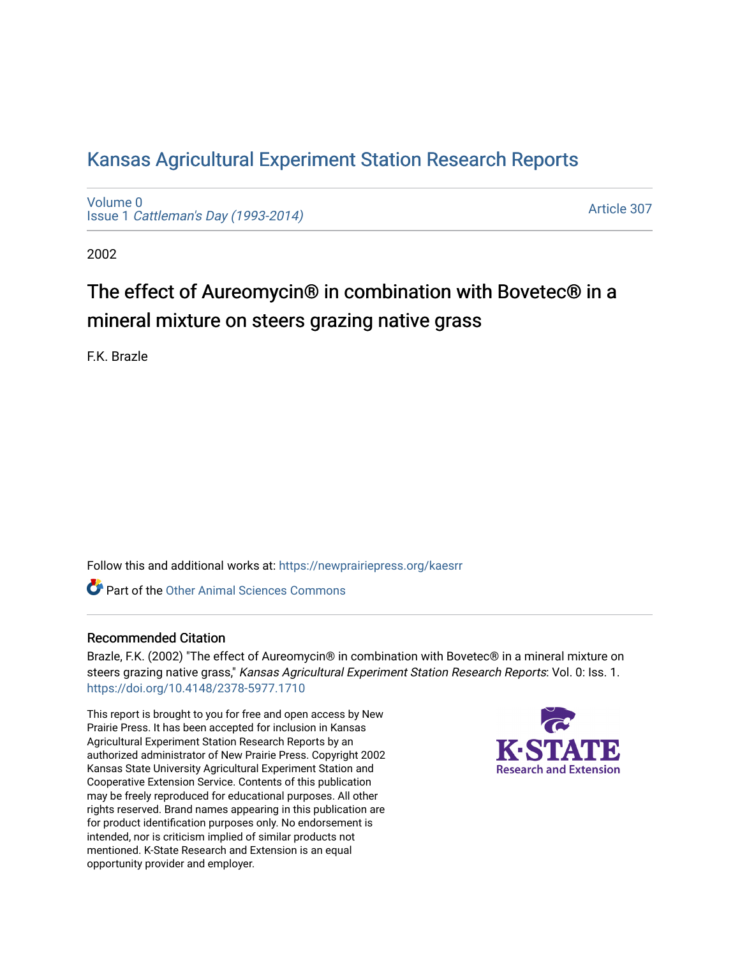## [Kansas Agricultural Experiment Station Research Reports](https://newprairiepress.org/kaesrr)

[Volume 0](https://newprairiepress.org/kaesrr/vol0) Issue 1 [Cattleman's Day \(1993-2014\)](https://newprairiepress.org/kaesrr/vol0/iss1) 

[Article 307](https://newprairiepress.org/kaesrr/vol0/iss1/307) 

2002

# The effect of Aureomycin® in combination with Bovetec® in a mineral mixture on steers grazing native grass

F.K. Brazle

Follow this and additional works at: [https://newprairiepress.org/kaesrr](https://newprairiepress.org/kaesrr?utm_source=newprairiepress.org%2Fkaesrr%2Fvol0%2Fiss1%2F307&utm_medium=PDF&utm_campaign=PDFCoverPages) 

**C** Part of the [Other Animal Sciences Commons](http://network.bepress.com/hgg/discipline/82?utm_source=newprairiepress.org%2Fkaesrr%2Fvol0%2Fiss1%2F307&utm_medium=PDF&utm_campaign=PDFCoverPages)

## Recommended Citation

Brazle, F.K. (2002) "The effect of Aureomycin® in combination with Bovetec® in a mineral mixture on steers grazing native grass," Kansas Agricultural Experiment Station Research Reports: Vol. 0: Iss. 1. <https://doi.org/10.4148/2378-5977.1710>

This report is brought to you for free and open access by New Prairie Press. It has been accepted for inclusion in Kansas Agricultural Experiment Station Research Reports by an authorized administrator of New Prairie Press. Copyright 2002 Kansas State University Agricultural Experiment Station and Cooperative Extension Service. Contents of this publication may be freely reproduced for educational purposes. All other rights reserved. Brand names appearing in this publication are for product identification purposes only. No endorsement is intended, nor is criticism implied of similar products not mentioned. K-State Research and Extension is an equal opportunity provider and employer.

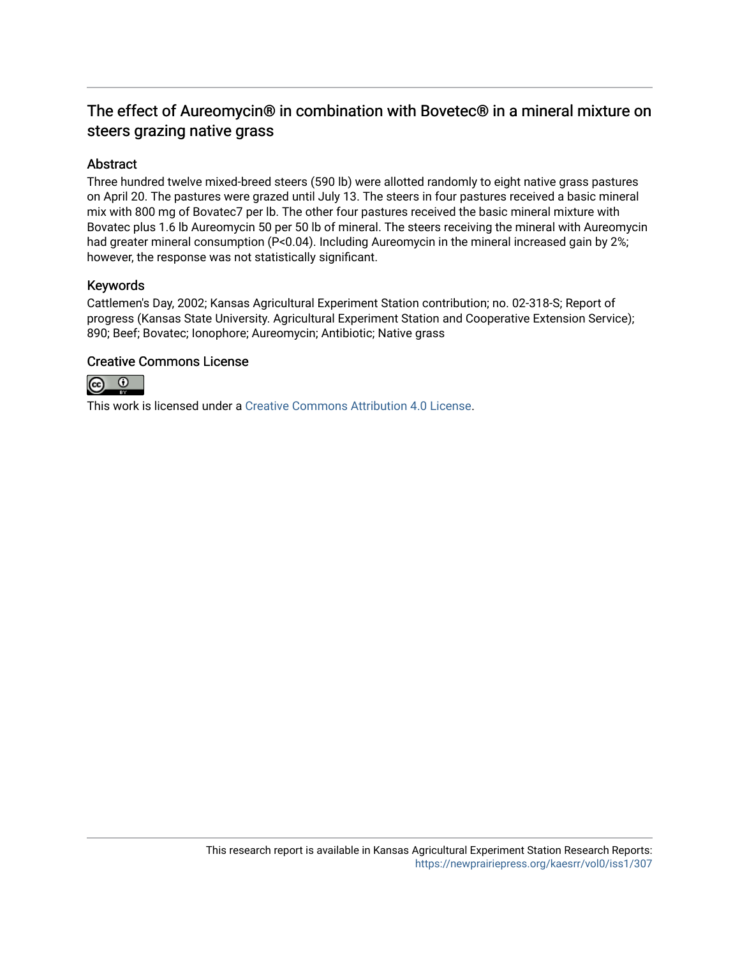## The effect of Aureomycin® in combination with Bovetec® in a mineral mixture on steers grazing native grass

## Abstract

Three hundred twelve mixed-breed steers (590 lb) were allotted randomly to eight native grass pastures on April 20. The pastures were grazed until July 13. The steers in four pastures received a basic mineral mix with 800 mg of Bovatec7 per lb. The other four pastures received the basic mineral mixture with Bovatec plus 1.6 lb Aureomycin 50 per 50 lb of mineral. The steers receiving the mineral with Aureomycin had greater mineral consumption (P<0.04). Including Aureomycin in the mineral increased gain by 2%; however, the response was not statistically significant.

### Keywords

Cattlemen's Day, 2002; Kansas Agricultural Experiment Station contribution; no. 02-318-S; Report of progress (Kansas State University. Agricultural Experiment Station and Cooperative Extension Service); 890; Beef; Bovatec; Ionophore; Aureomycin; Antibiotic; Native grass

### Creative Commons License



This work is licensed under a [Creative Commons Attribution 4.0 License](https://creativecommons.org/licenses/by/4.0/).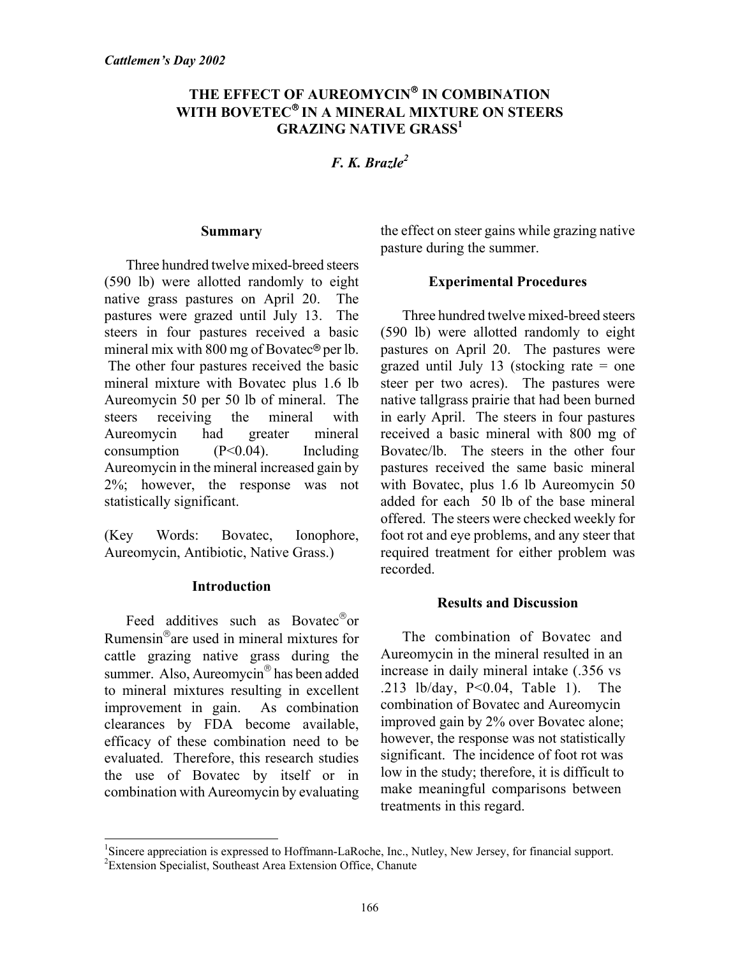## THE EFFECT OF AUREOMYCIN<sup>®</sup> IN COMBINATION WITH BOVETEC<sup>®</sup> IN A MINERAL MIXTURE ON STEERS **GRAZING NATIVE GRASS<sup>1</sup>**

*F. K. Brazle2*

### **Summary**

Three hundred twelve mixed-breed steers (590 lb) were allotted randomly to eight native grass pastures on April 20. The pastures were grazed until July 13. The steers in four pastures received a basic mineral mix with 800 mg of Bovatec<sup>®</sup> per lb. The other four pastures received the basic mineral mixture with Bovatec plus 1.6 lb Aureomycin 50 per 50 lb of mineral. The steers receiving the mineral with Aureomycin had greater mineral consumption (P<0.04). Including Aureomycin in the mineral increased gain by 2%; however, the response was not statistically significant.

(Key Words: Bovatec, Ionophore, Aureomycin, Antibiotic, Native Grass.)

## **Introduction**

Feed additives such as Bovatec $^{\circ}$ or Rumensin $^{\circ}$ are used in mineral mixtures for cattle grazing native grass during the summer. Also, Aureomycin<sup>®</sup> has been added to mineral mixtures resulting in excellent improvement in gain. As combination clearances by FDA become available, efficacy of these combination need to be evaluated. Therefore, this research studies the use of Bovatec by itself or in combination with Aureomycin by evaluating

l

the effect on steer gains while grazing native pasture during the summer.

## **Experimental Procedures**

Three hundred twelve mixed-breed steers (590 lb) were allotted randomly to eight pastures on April 20. The pastures were grazed until July 13 (stocking rate = one steer per two acres). The pastures were native tallgrass prairie that had been burned in early April. The steers in four pastures received a basic mineral with 800 mg of Bovatec/lb. The steers in the other four pastures received the same basic mineral with Bovatec, plus 1.6 lb Aureomycin 50 added for each 50 lb of the base mineral offered. The steers were checked weekly for foot rot and eye problems, and any steer that required treatment for either problem was recorded.

#### **Results and Discussion**

The combination of Bovatec and Aureomycin in the mineral resulted in an increase in daily mineral intake (.356 vs .213 lb/day, P<0.04, Table 1). The combination of Bovatec and Aureomycin improved gain by 2% over Bovatec alone; however, the response was not statistically significant. The incidence of foot rot was low in the study; therefore, it is difficult to make meaningful comparisons between treatments in this regard.

<sup>&</sup>lt;sup>1</sup>Sincere appreciation is expressed to Hoffmann-LaRoche, Inc., Nutley, New Jersey, for financial support.<br><sup>2</sup>Extension Specialist, Southeast Area Extension Office, Chanute <sup>2</sup>Extension Specialist, Southeast Area Extension Office, Chanute